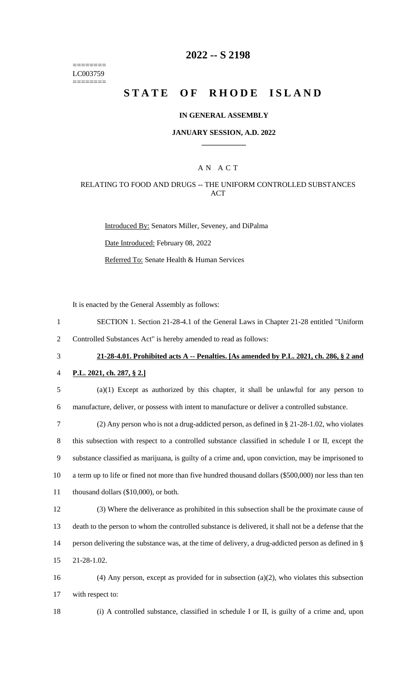======== LC003759 ========

### **2022 -- S 2198**

# **STATE OF RHODE ISLAND**

#### **IN GENERAL ASSEMBLY**

#### **JANUARY SESSION, A.D. 2022 \_\_\_\_\_\_\_\_\_\_\_\_**

### A N A C T

#### RELATING TO FOOD AND DRUGS -- THE UNIFORM CONTROLLED SUBSTANCES ACT

Introduced By: Senators Miller, Seveney, and DiPalma Date Introduced: February 08, 2022 Referred To: Senate Health & Human Services

It is enacted by the General Assembly as follows:

- 1 SECTION 1. Section 21-28-4.1 of the General Laws in Chapter 21-28 entitled "Uniform
- 2 Controlled Substances Act" is hereby amended to read as follows:
- 

## 3 **21-28-4.01. Prohibited acts A -- Penalties. [As amended by P.L. 2021, ch. 286, § 2 and**

#### 4 **P.L. 2021, ch. 287, § 2.]**

- 5 (a)(1) Except as authorized by this chapter, it shall be unlawful for any person to 6 manufacture, deliver, or possess with intent to manufacture or deliver a controlled substance.
- 7 (2) Any person who is not a drug-addicted person, as defined in § 21-28-1.02, who violates 8 this subsection with respect to a controlled substance classified in schedule I or II, except the 9 substance classified as marijuana, is guilty of a crime and, upon conviction, may be imprisoned to 10 a term up to life or fined not more than five hundred thousand dollars (\$500,000) nor less than ten 11 thousand dollars (\$10,000), or both.
- 12 (3) Where the deliverance as prohibited in this subsection shall be the proximate cause of 13 death to the person to whom the controlled substance is delivered, it shall not be a defense that the 14 person delivering the substance was, at the time of delivery, a drug-addicted person as defined in § 15 21-28-1.02.
- 16 (4) Any person, except as provided for in subsection (a)(2), who violates this subsection 17 with respect to:
- 

18 (i) A controlled substance, classified in schedule I or II, is guilty of a crime and, upon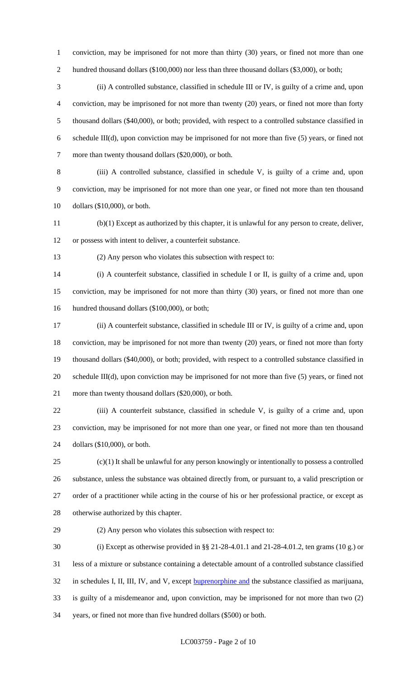conviction, may be imprisoned for not more than thirty (30) years, or fined not more than one 2 hundred thousand dollars (\$100,000) nor less than three thousand dollars (\$3,000), or both;

 (ii) A controlled substance, classified in schedule III or IV, is guilty of a crime and, upon conviction, may be imprisoned for not more than twenty (20) years, or fined not more than forty thousand dollars (\$40,000), or both; provided, with respect to a controlled substance classified in schedule III(d), upon conviction may be imprisoned for not more than five (5) years, or fined not 7 more than twenty thousand dollars (\$20,000), or both.

 (iii) A controlled substance, classified in schedule V, is guilty of a crime and, upon conviction, may be imprisoned for not more than one year, or fined not more than ten thousand dollars (\$10,000), or both.

 (b)(1) Except as authorized by this chapter, it is unlawful for any person to create, deliver, or possess with intent to deliver, a counterfeit substance.

(2) Any person who violates this subsection with respect to:

 (i) A counterfeit substance, classified in schedule I or II, is guilty of a crime and, upon conviction, may be imprisoned for not more than thirty (30) years, or fined not more than one 16 hundred thousand dollars (\$100,000), or both;

 (ii) A counterfeit substance, classified in schedule III or IV, is guilty of a crime and, upon conviction, may be imprisoned for not more than twenty (20) years, or fined not more than forty thousand dollars (\$40,000), or both; provided, with respect to a controlled substance classified in schedule III(d), upon conviction may be imprisoned for not more than five (5) years, or fined not more than twenty thousand dollars (\$20,000), or both.

 (iii) A counterfeit substance, classified in schedule V, is guilty of a crime and, upon conviction, may be imprisoned for not more than one year, or fined not more than ten thousand dollars (\$10,000), or both.

 (c)(1) It shall be unlawful for any person knowingly or intentionally to possess a controlled substance, unless the substance was obtained directly from, or pursuant to, a valid prescription or order of a practitioner while acting in the course of his or her professional practice, or except as otherwise authorized by this chapter.

(2) Any person who violates this subsection with respect to:

 (i) Except as otherwise provided in §§ 21-28-4.01.1 and 21-28-4.01.2, ten grams (10 g.) or less of a mixture or substance containing a detectable amount of a controlled substance classified 32 in schedules I, II, III, IV, and V, except **buprenorphine and** the substance classified as marijuana, is guilty of a misdemeanor and, upon conviction, may be imprisoned for not more than two (2) years, or fined not more than five hundred dollars (\$500) or both.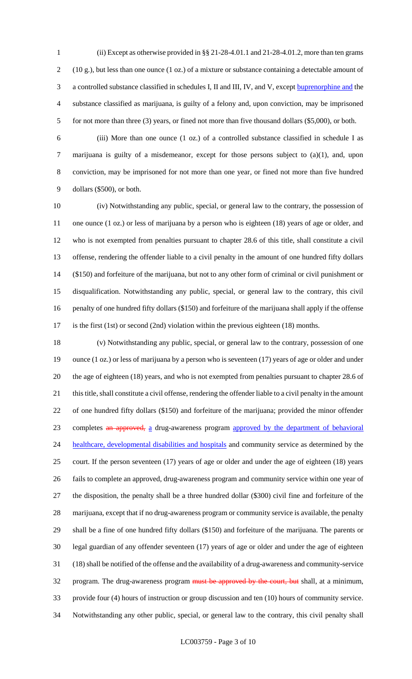(ii) Except as otherwise provided in §§ 21-28-4.01.1 and 21-28-4.01.2, more than ten grams (10 g.), but less than one ounce (1 oz.) of a mixture or substance containing a detectable amount of a controlled substance classified in schedules I, II and III, IV, and V, except buprenorphine and the substance classified as marijuana, is guilty of a felony and, upon conviction, may be imprisoned 5 for not more than three (3) years, or fined not more than five thousand dollars (\$5,000), or both.

 (iii) More than one ounce (1 oz.) of a controlled substance classified in schedule I as marijuana is guilty of a misdemeanor, except for those persons subject to (a)(1), and, upon conviction, may be imprisoned for not more than one year, or fined not more than five hundred dollars (\$500), or both.

 (iv) Notwithstanding any public, special, or general law to the contrary, the possession of one ounce (1 oz.) or less of marijuana by a person who is eighteen (18) years of age or older, and who is not exempted from penalties pursuant to chapter 28.6 of this title, shall constitute a civil offense, rendering the offender liable to a civil penalty in the amount of one hundred fifty dollars (\$150) and forfeiture of the marijuana, but not to any other form of criminal or civil punishment or disqualification. Notwithstanding any public, special, or general law to the contrary, this civil penalty of one hundred fifty dollars (\$150) and forfeiture of the marijuana shall apply if the offense is the first (1st) or second (2nd) violation within the previous eighteen (18) months.

 (v) Notwithstanding any public, special, or general law to the contrary, possession of one ounce (1 oz.) or less of marijuana by a person who is seventeen (17) years of age or older and under the age of eighteen (18) years, and who is not exempted from penalties pursuant to chapter 28.6 of this title, shall constitute a civil offense, rendering the offender liable to a civil penalty in the amount of one hundred fifty dollars (\$150) and forfeiture of the marijuana; provided the minor offender 23 completes an approved, a drug-awareness program approved by the department of behavioral 24 healthcare, developmental disabilities and hospitals and community service as determined by the court. If the person seventeen (17) years of age or older and under the age of eighteen (18) years fails to complete an approved, drug-awareness program and community service within one year of the disposition, the penalty shall be a three hundred dollar (\$300) civil fine and forfeiture of the marijuana, except that if no drug-awareness program or community service is available, the penalty shall be a fine of one hundred fifty dollars (\$150) and forfeiture of the marijuana. The parents or legal guardian of any offender seventeen (17) years of age or older and under the age of eighteen (18) shall be notified of the offense and the availability of a drug-awareness and community-service 32 program. The drug-awareness program must be approved by the court, but shall, at a minimum, provide four (4) hours of instruction or group discussion and ten (10) hours of community service. Notwithstanding any other public, special, or general law to the contrary, this civil penalty shall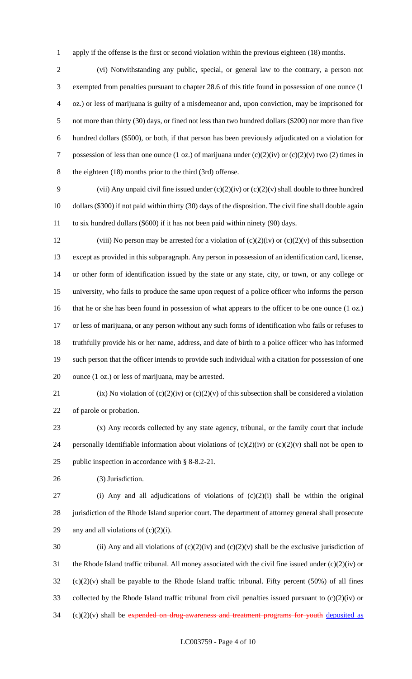apply if the offense is the first or second violation within the previous eighteen (18) months.

 (vi) Notwithstanding any public, special, or general law to the contrary, a person not exempted from penalties pursuant to chapter 28.6 of this title found in possession of one ounce (1 oz.) or less of marijuana is guilty of a misdemeanor and, upon conviction, may be imprisoned for not more than thirty (30) days, or fined not less than two hundred dollars (\$200) nor more than five hundred dollars (\$500), or both, if that person has been previously adjudicated on a violation for 7 possession of less than one ounce (1 oz.) of marijuana under  $(c)(2)(iv)$  or  $(c)(2)(v)$  two (2) times in the eighteen (18) months prior to the third (3rd) offense.

9 (vii) Any unpaid civil fine issued under  $(c)(2)(iv)$  or  $(c)(2)(v)$  shall double to three hundred dollars (\$300) if not paid within thirty (30) days of the disposition. The civil fine shall double again to six hundred dollars (\$600) if it has not been paid within ninety (90) days.

12 (viii) No person may be arrested for a violation of  $(c)(2)(iv)$  or  $(c)(2)(v)$  of this subsection except as provided in this subparagraph. Any person in possession of an identification card, license, or other form of identification issued by the state or any state, city, or town, or any college or university, who fails to produce the same upon request of a police officer who informs the person that he or she has been found in possession of what appears to the officer to be one ounce (1 oz.) or less of marijuana, or any person without any such forms of identification who fails or refuses to truthfully provide his or her name, address, and date of birth to a police officer who has informed such person that the officer intends to provide such individual with a citation for possession of one ounce (1 oz.) or less of marijuana, may be arrested.

21 (ix) No violation of (c)(2)(iv) or (c)(2)(v) of this subsection shall be considered a violation of parole or probation.

 (x) Any records collected by any state agency, tribunal, or the family court that include 24 personally identifiable information about violations of  $(c)(2)(iv)$  or  $(c)(2)(v)$  shall not be open to public inspection in accordance with § 8-8.2-21.

(3) Jurisdiction.

 (i) Any and all adjudications of violations of (c)(2)(i) shall be within the original jurisdiction of the Rhode Island superior court. The department of attorney general shall prosecute 29 any and all violations of  $(c)(2)(i)$ .

30 (ii) Any and all violations of  $(c)(2)(iv)$  and  $(c)(2)(v)$  shall be the exclusive jurisdiction of the Rhode Island traffic tribunal. All money associated with the civil fine issued under (c)(2)(iv) or (c)(2)(v) shall be payable to the Rhode Island traffic tribunal. Fifty percent (50%) of all fines collected by the Rhode Island traffic tribunal from civil penalties issued pursuant to (c)(2)(iv) or (c)(2)(v) shall be expended on drug-awareness and treatment programs for youth deposited as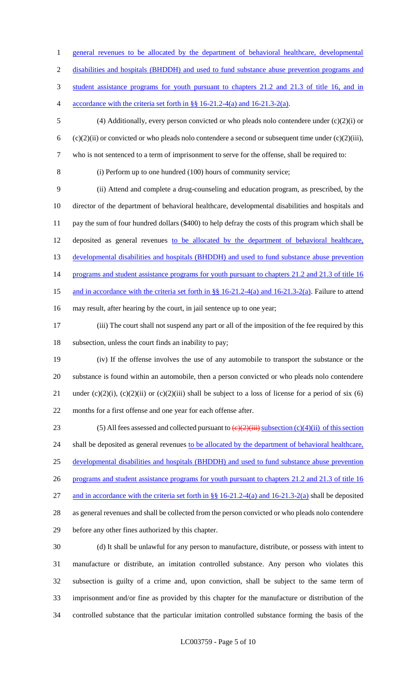1 general revenues to be allocated by the department of behavioral healthcare, developmental 2 disabilities and hospitals (BHDDH) and used to fund substance abuse prevention programs and 3 student assistance programs for youth pursuant to chapters 21.2 and 21.3 of title 16, and in 4 accordance with the criteria set forth in §§ 16-21.2-4(a) and 16-21.3-2(a). 5 (4) Additionally, every person convicted or who pleads nolo contendere under (c)(2)(i) or 6 (c)(2)(ii) or convicted or who pleads nolo contendere a second or subsequent time under (c)(2)(iii), 7 who is not sentenced to a term of imprisonment to serve for the offense, shall be required to: 8 (i) Perform up to one hundred (100) hours of community service; 9 (ii) Attend and complete a drug-counseling and education program, as prescribed, by the 10 director of the department of behavioral healthcare, developmental disabilities and hospitals and 11 pay the sum of four hundred dollars (\$400) to help defray the costs of this program which shall be 12 deposited as general revenues to be allocated by the department of behavioral healthcare, 13 developmental disabilities and hospitals (BHDDH) and used to fund substance abuse prevention 14 programs and student assistance programs for youth pursuant to chapters 21.2 and 21.3 of title 16 15 and in accordance with the criteria set forth in §§ 16-21.2-4(a) and 16-21.3-2(a). Failure to attend 16 may result, after hearing by the court, in jail sentence up to one year; 17 (iii) The court shall not suspend any part or all of the imposition of the fee required by this 18 subsection, unless the court finds an inability to pay; 19 (iv) If the offense involves the use of any automobile to transport the substance or the 20 substance is found within an automobile, then a person convicted or who pleads nolo contendere 21 under (c)(2)(i), (c)(2)(ii) or (c)(2)(iii) shall be subject to a loss of license for a period of six (6) 22 months for a first offense and one year for each offense after. 23 (5) All fees assessed and collected pursuant to  $\left(\frac{e}{2}\right)$  (iii) subsection (c)(4)(ii) of this section 24 shall be deposited as general revenues to be allocated by the department of behavioral healthcare, 25 developmental disabilities and hospitals (BHDDH) and used to fund substance abuse prevention 26 programs and student assistance programs for youth pursuant to chapters 21.2 and 21.3 of title 16 27 and in accordance with the criteria set forth in §§ 16-21.2-4(a) and 16-21.3-2(a) shall be deposited 28 as general revenues and shall be collected from the person convicted or who pleads nolo contendere 29 before any other fines authorized by this chapter. 30 (d) It shall be unlawful for any person to manufacture, distribute, or possess with intent to

 manufacture or distribute, an imitation controlled substance. Any person who violates this subsection is guilty of a crime and, upon conviction, shall be subject to the same term of imprisonment and/or fine as provided by this chapter for the manufacture or distribution of the controlled substance that the particular imitation controlled substance forming the basis of the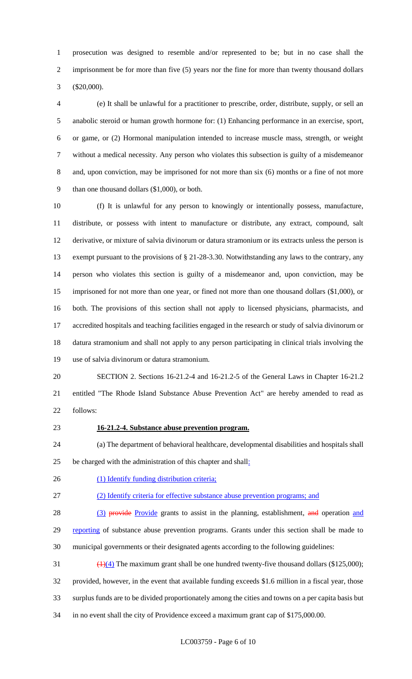prosecution was designed to resemble and/or represented to be; but in no case shall the imprisonment be for more than five (5) years nor the fine for more than twenty thousand dollars (\$20,000).

 (e) It shall be unlawful for a practitioner to prescribe, order, distribute, supply, or sell an anabolic steroid or human growth hormone for: (1) Enhancing performance in an exercise, sport, or game, or (2) Hormonal manipulation intended to increase muscle mass, strength, or weight without a medical necessity. Any person who violates this subsection is guilty of a misdemeanor and, upon conviction, may be imprisoned for not more than six (6) months or a fine of not more than one thousand dollars (\$1,000), or both.

 (f) It is unlawful for any person to knowingly or intentionally possess, manufacture, distribute, or possess with intent to manufacture or distribute, any extract, compound, salt derivative, or mixture of salvia divinorum or datura stramonium or its extracts unless the person is exempt pursuant to the provisions of § 21-28-3.30. Notwithstanding any laws to the contrary, any person who violates this section is guilty of a misdemeanor and, upon conviction, may be imprisoned for not more than one year, or fined not more than one thousand dollars (\$1,000), or both. The provisions of this section shall not apply to licensed physicians, pharmacists, and accredited hospitals and teaching facilities engaged in the research or study of salvia divinorum or datura stramonium and shall not apply to any person participating in clinical trials involving the use of salvia divinorum or datura stramonium.

 SECTION 2. Sections 16-21.2-4 and 16-21.2-5 of the General Laws in Chapter 16-21.2 entitled "The Rhode Island Substance Abuse Prevention Act" are hereby amended to read as follows:

#### **16-21.2-4. Substance abuse prevention program.**

 (a) The department of behavioral healthcare, developmental disabilities and hospitals shall be charged with the administration of this chapter and shall:

26 (1) Identify funding distribution criteria;

(2) Identify criteria for effective substance abuse prevention programs; and

28 (3) provide Provide grants to assist in the planning, establishment, and operation and 29 reporting of substance abuse prevention programs. Grants under this section shall be made to municipal governments or their designated agents according to the following guidelines:

 $\left(\frac{1}{4}\right)$  The maximum grant shall be one hundred twenty-five thousand dollars (\$125,000); provided, however, in the event that available funding exceeds \$1.6 million in a fiscal year, those surplus funds are to be divided proportionately among the cities and towns on a per capita basis but in no event shall the city of Providence exceed a maximum grant cap of \$175,000.00.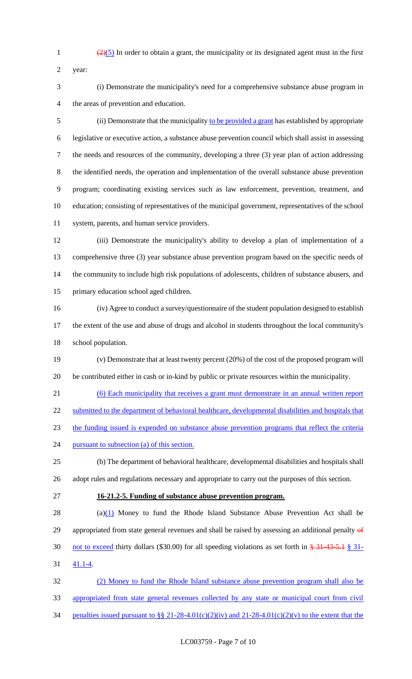$\frac{(2)(5)}{2}$  In order to obtain a grant, the municipality or its designated agent must in the first

program in

year:

| (i) Demonstrate the municipality's need for a comprehensive substance abuse |
|-----------------------------------------------------------------------------|
| the areas of prevention and education.                                      |

 (ii) Demonstrate that the municipality to be provided a grant has established by appropriate legislative or executive action, a substance abuse prevention council which shall assist in assessing the needs and resources of the community, developing a three (3) year plan of action addressing the identified needs, the operation and implementation of the overall substance abuse prevention program; coordinating existing services such as law enforcement, prevention, treatment, and education; consisting of representatives of the municipal government, representatives of the school system, parents, and human service providers.

 (iii) Demonstrate the municipality's ability to develop a plan of implementation of a comprehensive three (3) year substance abuse prevention program based on the specific needs of the community to include high risk populations of adolescents, children of substance abusers, and primary education school aged children.

 (iv) Agree to conduct a survey/questionnaire of the student population designed to establish the extent of the use and abuse of drugs and alcohol in students throughout the local community's school population.

 (v) Demonstrate that at least twenty percent (20%) of the cost of the proposed program will be contributed either in cash or in-kind by public or private resources within the municipality.

(6) Each municipality that receives a grant must demonstrate in an annual written report

22 submitted to the department of behavioral healthcare, developmental disabilities and hospitals that

the funding issued is expended on substance abuse prevention programs that reflect the criteria

24 pursuant to subsection (a) of this section.

 (b) The department of behavioral healthcare, developmental disabilities and hospitals shall adopt rules and regulations necessary and appropriate to carry out the purposes of this section.

#### **16-21.2-5. Funding of substance abuse prevention program.**

28 (a) $(1)$  Money to fund the Rhode Island Substance Abuse Prevention Act shall be 29 appropriated from state general revenues and shall be raised by assessing an additional penalty of not to exceed thirty dollars (\$30.00) for all speeding violations as set forth in § 31-43-5.1 § 31- 41.1-4.

 (2) Money to fund the Rhode Island substance abuse prevention program shall also be appropriated from state general revenues collected by any state or municipal court from civil 34 penalties issued pursuant to §§ 21-28-4.01(c)(2)(iv) and 21-28-4.01(c)(2)(v) to the extent that the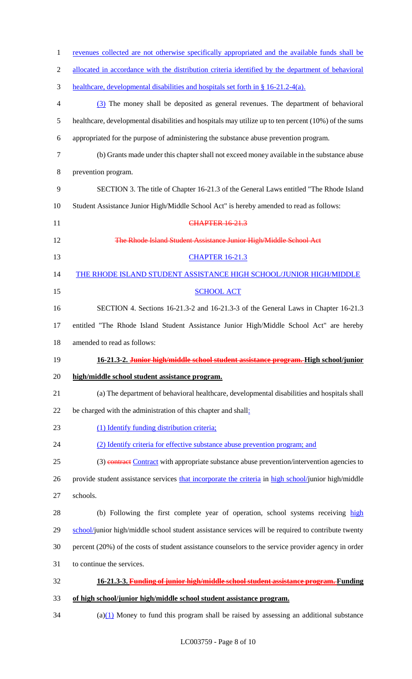| $\mathbf{1}$   | revenues collected are not otherwise specifically appropriated and the available funds shall be      |
|----------------|------------------------------------------------------------------------------------------------------|
| $\overline{2}$ | allocated in accordance with the distribution criteria identified by the department of behavioral    |
| 3              | healthcare, developmental disabilities and hospitals set forth in § 16-21.2-4(a).                    |
| $\overline{4}$ | (3) The money shall be deposited as general revenues. The department of behavioral                   |
| $\mathfrak{S}$ | healthcare, developmental disabilities and hospitals may utilize up to ten percent (10%) of the sums |
| 6              | appropriated for the purpose of administering the substance abuse prevention program.                |
| $\tau$         | (b) Grants made under this chapter shall not exceed money available in the substance abuse           |
| 8              | prevention program.                                                                                  |
| 9              | SECTION 3. The title of Chapter 16-21.3 of the General Laws entitled "The Rhode Island"              |
| 10             | Student Assistance Junior High/Middle School Act" is hereby amended to read as follows:              |
| 11             | <b>CHAPTER 16-21.3</b>                                                                               |
| 12             | The Rhode Island Student Assistance Junior High/Middle School Act                                    |
| 13             | <b>CHAPTER 16-21.3</b>                                                                               |
| 14             | THE RHODE ISLAND STUDENT ASSISTANCE HIGH SCHOOL/JUNIOR HIGH/MIDDLE                                   |
| 15             | <b>SCHOOL ACT</b>                                                                                    |
| 16             | SECTION 4. Sections 16-21.3-2 and 16-21.3-3 of the General Laws in Chapter 16-21.3                   |
| 17             | entitled "The Rhode Island Student Assistance Junior High/Middle School Act" are hereby              |
| 18             | amended to read as follows:                                                                          |
| 19             | 16-21.3-2. Junior high/middle school student assistance program. High school/junior                  |
| 20             | high/middle school student assistance program.                                                       |
| 21             | (a) The department of behavioral healthcare, developmental disabilities and hospitals shall          |
| 22             | be charged with the administration of this chapter and shall:                                        |
| 23             | (1) Identify funding distribution criteria;                                                          |
| 24             | (2) Identify criteria for effective substance abuse prevention program; and                          |
| 25             | (3) contract Contract with appropriate substance abuse prevention/intervention agencies to           |
| 26             | provide student assistance services that incorporate the criteria in high school/junior high/middle  |
| 27             | schools.                                                                                             |
| 28             | (b) Following the first complete year of operation, school systems receiving high                    |
| 29             | school/junior high/middle school student assistance services will be required to contribute twenty   |
| 30             | percent (20%) of the costs of student assistance counselors to the service provider agency in order  |
| 31             | to continue the services.                                                                            |
| 32             | 16-21.3-3. Funding of junior high/middle school student assistance program. Funding                  |
| 33             | of high school/junior high/middle school student assistance program.                                 |
| 34             | $(a)(1)$ Money to fund this program shall be raised by assessing an additional substance             |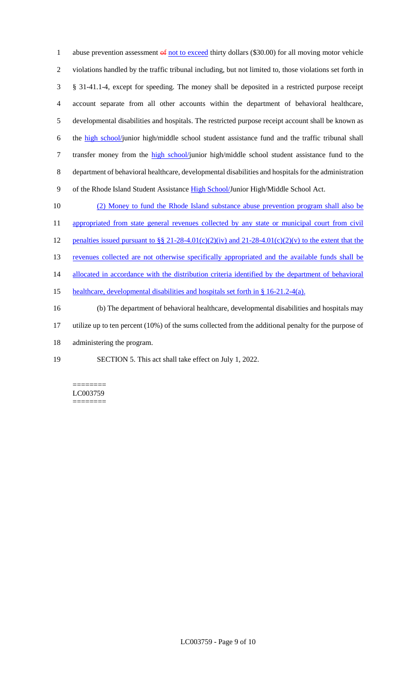1 abuse prevention assessment of not to exceed thirty dollars (\$30.00) for all moving motor vehicle violations handled by the traffic tribunal including, but not limited to, those violations set forth in § 31-41.1-4, except for speeding. The money shall be deposited in a restricted purpose receipt account separate from all other accounts within the department of behavioral healthcare, developmental disabilities and hospitals. The restricted purpose receipt account shall be known as the high school/junior high/middle school student assistance fund and the traffic tribunal shall 7 transfer money from the high school/junior high/middle school student assistance fund to the department of behavioral healthcare, developmental disabilities and hospitals for the administration 9 of the Rhode Island Student Assistance High School/Junior High/Middle School Act.

10 (2) Money to fund the Rhode Island substance abuse prevention program shall also be 11 appropriated from state general revenues collected by any state or municipal court from civil 12 penalties issued pursuant to §§ 21-28-4.01(c)(2)(iv) and 21-28-4.01(c)(2)(v) to the extent that the 13 revenues collected are not otherwise specifically appropriated and the available funds shall be 14 allocated in accordance with the distribution criteria identified by the department of behavioral 15 healthcare, developmental disabilities and hospitals set forth in § 16-21.2-4(a). 16 (b) The department of behavioral healthcare, developmental disabilities and hospitals may 17 utilize up to ten percent (10%) of the sums collected from the additional penalty for the purpose of 18 administering the program.

19 SECTION 5. This act shall take effect on July 1, 2022.

======== LC003759 ========